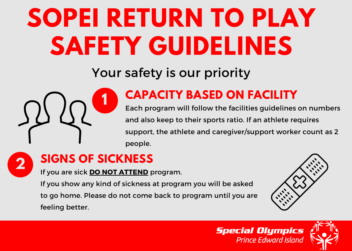Your safety is our priority



**2**

### **CAPACITY BASED ON FACILITY**

Each program will follow the facilities guidelines on numbers and also keep to their sports ratio. If an athlete requires support, the athlete and caregiver/support worker count as 2 people.

### **SIGNS OF SICKNESS**

If you are sick **DO NOT ATTEND** program.

If you show any kind of sickness at program you will be asked to go home. Please do not come back to program until you are feeling better.



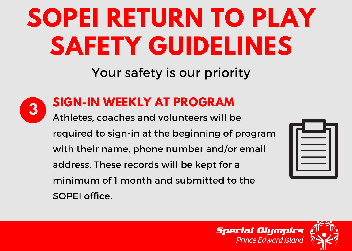## Your safety is our priority



#### **SIGN-IN WEEKLY AT PROGRAM**

**3**<br>Athletes, coaches and volunteers will be required to sign-in at the beginning of program with their name, phone number and/or email address. These records will be kept for a minimum of 1 month and submitted to the SOPEI office.



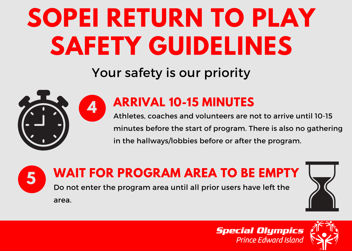## Your safety is our priority



### **ARRIVAL 10-15 MINUTES**

A<sub>th</sub> Athletes, coaches and volunteers are not to arrive until 10-15 minutes before the start of program. There is also no gathering in the hallways/lobbies before or after the program.

#### **WAIT FOR PROGRAM AREA TO BE EMPTY 5**

Do not enter the program area until all prior users have left the

area.





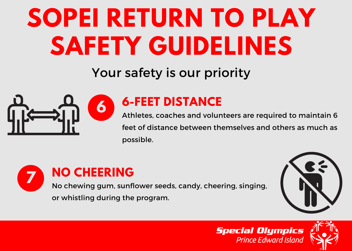## Your safety is our priority



#### **6-FEET DISTANCE**

**6 6 b FILET DISTANCE**<br>Athletes, coaches and volunteers are required to maintain 6 feet of distance between themselves and others as much as possible.



No chewing gum, sunflower seeds, candy, cheering, singing,





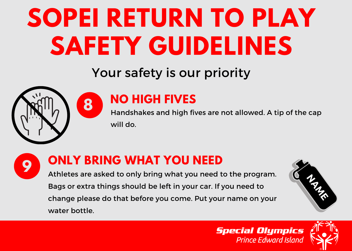## Your safety is our priority



### **NO HIGH FIVES**

Handshakes and high fives are not allowed. A tip of the cap will do. **<sup>8</sup>**



#### **ONLY BRING WHAT YOU NEED**

Athletes are asked to only bring what you need to the program. Bags or extra things should be left in your car. If you need to change please do that before you come. Put your name on your water bottle.



#### **Special Olympics Prince Edward Island**

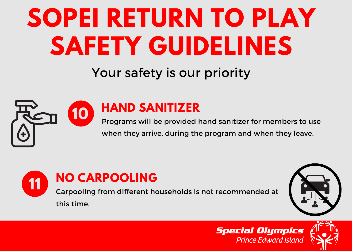## Your safety is our priority



#### **HAND SANITIZER**

**10** Programs will be provided hand sanitizer for members to use when they arrive, during the program and when they leave.





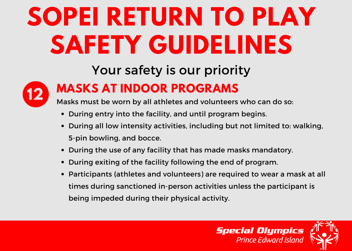## Your safety is our priority



### **MASKS AT INDOOR PROGRAMS**

Masks must be worn by all athletes and volunteers who can do so: **12**

- During entry into the facility, and until program begins.
- During all low intensity activities, including but not limited to: walking, 5-pin bowling, and bocce.
- During the use of any facility that has made masks mandatory.
- During exiting of the facility following the end of program.
- Participants (athletes and volunteers) are required to wear a mask at all times during sanctioned in-person activities unless the participant is being impeded during their physical activity.